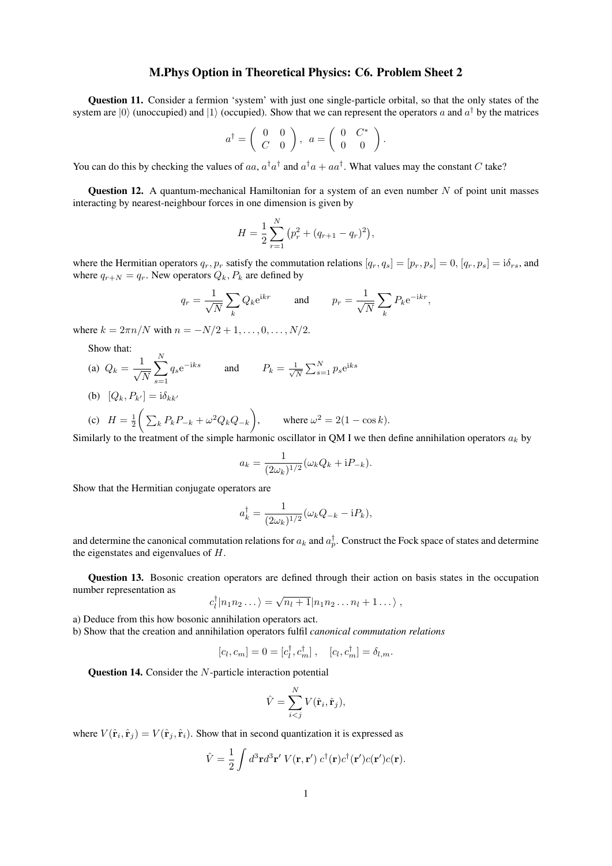## M.Phys Option in Theoretical Physics: C6. Problem Sheet 2

Question 11. Consider a fermion 'system' with just one single-particle orbital, so that the only states of the system are  $|0\rangle$  (unoccupied) and  $|1\rangle$  (occupied). Show that we can represent the operators a and  $a^{\dagger}$  by the matrices

$$
a^{\dagger} = \left(\begin{array}{cc} 0 & 0 \\ C & 0 \end{array}\right), \ \ a = \left(\begin{array}{cc} 0 & C^* \\ 0 & 0 \end{array}\right).
$$

You can do this by checking the values of aa,  $a^{\dagger}a^{\dagger}$  and  $a^{\dagger}a + aa^{\dagger}$ . What values may the constant C take?

**Question 12.** A quantum-mechanical Hamiltonian for a system of an even number  $N$  of point unit masses interacting by nearest-neighbour forces in one dimension is given by

$$
H = \frac{1}{2} \sum_{r=1}^{N} (p_r^2 + (q_{r+1} - q_r)^2),
$$

where the Hermitian operators  $q_r, p_r$  satisfy the commutation relations  $[q_r, q_s] = [p_r, p_s] = 0$ ,  $[q_r, p_s] = i\delta_{rs}$ , and where  $q_{r+N} = q_r$ . New operators  $Q_k, P_k$  are defined by

$$
q_r = \frac{1}{\sqrt{N}} \sum_k Q_k e^{ikr}
$$
 and 
$$
p_r = \frac{1}{\sqrt{N}} \sum_k P_k e^{-ikr},
$$

where  $k = 2\pi n/N$  with  $n = -N/2 + 1, ..., 0, ..., N/2$ .

Show that:

- (a)  $Q_k = \frac{1}{\sqrt{2}}$ N  $\sum_{i=1}^{N}$  $s=1$  $q_s e^{-iks}$  and  $P_k = \frac{1}{\sqrt{2}}$  $\frac{1}{\overline{N}}\sum_{s=1}^{N}p_{s}\mathrm{e}^{\mathrm{i}ks}$
- (b)  $[Q_k, P_{k'}] = i\delta_{kk'}$

(c) 
$$
H = \frac{1}{2} \bigg( \sum_{k} P_k P_{-k} + \omega^2 Q_k Q_{-k} \bigg), \quad \text{where } \omega^2 = 2(1 - \cos k).
$$

Similarly to the treatment of the simple harmonic oscillator in QM I we then define annihilation operators  $a_k$  by

$$
a_k = \frac{1}{(2\omega_k)^{1/2}} (\omega_k Q_k + iP_{-k}).
$$

Show that the Hermitian conjugate operators are

$$
a_k^{\dagger} = \frac{1}{(2\omega_k)^{1/2}} (\omega_k Q_{-k} - i P_k),
$$

and determine the canonical commutation relations for  $a_k$  and  $a_p^{\dagger}$ . Construct the Fock space of states and determine the eigenstates and eigenvalues of H.

Question 13. Bosonic creation operators are defined through their action on basis states in the occupation number representation as

$$
c_l^{\dagger} |n_1 n_2 \dots \rangle = \sqrt{n_l+1} |n_1 n_2 \dots n_l + 1 \dots \rangle ,
$$

- a) Deduce from this how bosonic annihilation operators act.
- b) Show that the creation and annihilation operators fulfil *canonical commutation relations*

$$
[c_l, c_m] = 0 = [c_l^{\dagger}, c_m^{\dagger}], \quad [c_l, c_m^{\dagger}] = \delta_{l,m}.
$$

Question 14. Consider the N-particle interaction potential

$$
\hat{V} = \sum_{i < j}^{N} V(\hat{\mathbf{r}}_i, \hat{\mathbf{r}}_j),
$$

where  $V(\hat{\bf r}_i, \hat{\bf r}_j) = V(\hat{\bf r}_j, \hat{\bf r}_i)$ . Show that in second quantization it is expressed as

$$
\hat{V} = \frac{1}{2} \int d^3 \mathbf{r} d^3 \mathbf{r}' V(\mathbf{r}, \mathbf{r}') c^{\dagger}(\mathbf{r}) c^{\dagger}(\mathbf{r}') c(\mathbf{r}') c(\mathbf{r}).
$$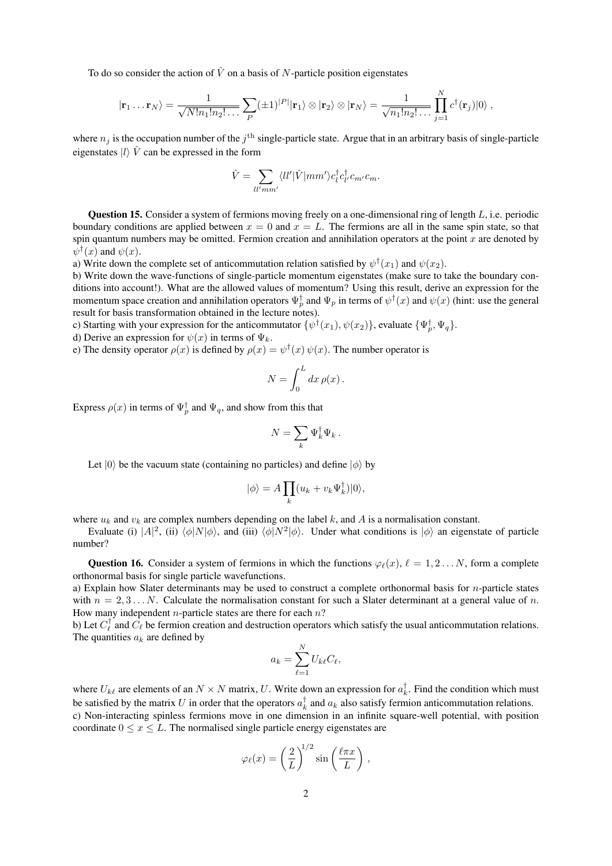To do so consider the action of  $\hat{V}$  on a basis of N-particle position eigenstates

$$
|\mathbf{r}_1 \dots \mathbf{r}_N\rangle = \frac{1}{\sqrt{N!n_1!n_2! \dots}} \sum_P (\pm 1)^{|P|} |\mathbf{r}_1\rangle \otimes |\mathbf{r}_2\rangle \otimes |\mathbf{r}_N\rangle = \frac{1}{\sqrt{n_1!n_2! \dots}} \prod_{j=1}^N c^{\dagger}(\mathbf{r}_j)|0\rangle ,
$$

where  $n_j$  is the occupation number of the  $j<sup>th</sup>$  single-particle state. Argue that in an arbitrary basis of single-particle eigenstates  $|l\rangle \hat{V}$  can be expressed in the form

$$
\hat{V} = \sum_{ll'mm'} \langle ll'|\hat{V}|mm'\rangle c_l^{\dagger} c_{l'}^{\dagger} c_{m'} c_m.
$$

**Question 15.** Consider a system of fermions moving freely on a one-dimensional ring of length  $L$ , i.e. periodic boundary conditions are applied between  $x = 0$  and  $x = L$ . The fermions are all in the same spin state, so that spin quantum numbers may be omitted. Fermion creation and annihilation operators at the point  $x$  are denoted by  $\psi^{\dagger}(x)$  and  $\psi(x)$ .

a) Write down the complete set of anticommutation relation satisfied by  $\psi^{\dagger}(x_1)$  and  $\psi(x_2)$ .

b) Write down the wave-functions of single-particle momentum eigenstates (make sure to take the boundary conditions into account!). What are the allowed values of momentum? Using this result, derive an expression for the momentum space creation and annihilation operators  $\Psi_p^{\dagger}$  and  $\Psi_p$  in terms of  $\psi^{\dagger}(x)$  and  $\psi(x)$  (hint: use the general result for basis transformation obtained in the lecture notes).

c) Starting with your expression for the anticommutator  $\{\psi^{\dagger}(x_1), \psi(x_2)\}\$ , evaluate  $\{\Psi^{\dagger}_p, \Psi_q\}$ . d) Derive an expression for  $\psi(x)$  in terms of  $\Psi_k$ .

e) The density operator  $\rho(x)$  is defined by  $\rho(x) = \psi^{\dagger}(x) \psi(x)$ . The number operator is

$$
N = \int_0^L dx \, \rho(x) \, .
$$

Express  $\rho(x)$  in terms of  $\Psi_p^{\dagger}$  and  $\Psi_q$ , and show from this that

$$
N=\sum_k \Psi_k^\dagger \Psi_k\,.
$$

Let  $|0\rangle$  be the vacuum state (containing no particles) and define  $|\phi\rangle$  by

$$
|\phi\rangle = A \prod_{k} (u_k + v_k \Psi_k^{\dagger}) |0\rangle,
$$

where  $u_k$  and  $v_k$  are complex numbers depending on the label k, and A is a normalisation constant.

Evaluate (i)  $|A|^2$ , (ii)  $\langle \phi | N | \phi \rangle$ , and (iii)  $\langle \phi | N^2 | \phi \rangle$ . Under what conditions is  $| \phi \rangle$  an eigenstate of particle number?

Question 16. Consider a system of fermions in which the functions  $\varphi_{\ell}(x), \ell = 1, 2, \ldots N$ , form a complete orthonormal basis for single particle wavefunctions.

a) Explain how Slater determinants may be used to construct a complete orthonormal basis for n-particle states with  $n = 2, 3, \ldots N$ . Calculate the normalisation constant for such a Slater determinant at a general value of n. How many independent  $n$ -particle states are there for each  $n$ ?

b) Let  $C_{\ell}^{\dagger}$  and  $C_{\ell}$  be fermion creation and destruction operators which satisfy the usual anticommutation relations. The quantities  $a_k$  are defined by

$$
a_k = \sum_{\ell=1}^N U_{k\ell} C_\ell,
$$

where  $U_{k\ell}$  are elements of an  $N \times N$  matrix, U. Write down an expression for  $a_k^{\dagger}$ . Find the condition which must be satisfied by the matrix U in order that the operators  $a_k^{\dagger}$  and  $a_k$  also satisfy fermion anticommutation relations. c) Non-interacting spinless fermions move in one dimension in an infinite square-well potential, with position coordinate  $0 \le x \le L$ . The normalised single particle energy eigenstates are

$$
\varphi_{\ell}(x) = \left(\frac{2}{L}\right)^{1/2} \sin\left(\frac{\ell \pi x}{L}\right),\,
$$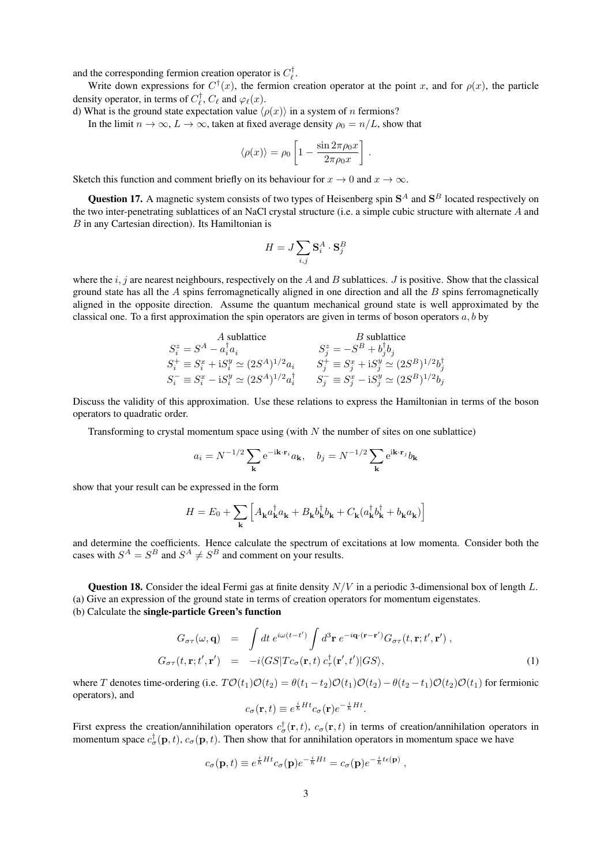and the corresponding fermion creation operator is  $C_{\ell}^{\dagger}$ .

Write down expressions for  $C^{\dagger}(x)$ , the fermion creation operator at the point x, and for  $\rho(x)$ , the particle density operator, in terms of  $C_{\ell}^{\dagger}$ ,  $C_{\ell}$  and  $\varphi_{\ell}(x)$ .

d) What is the ground state expectation value  $\langle \rho(x) \rangle$  in a system of n fermions?

In the limit  $n \to \infty$ ,  $L \to \infty$ , taken at fixed average density  $\rho_0 = n/L$ , show that

$$
\langle \rho(x) \rangle = \rho_0 \left[ 1 - \frac{\sin 2\pi \rho_0 x}{2\pi \rho_0 x} \right].
$$

Sketch this function and comment briefly on its behaviour for  $x \to 0$  and  $x \to \infty$ .

**Question 17.** A magnetic system consists of two types of Heisenberg spin  $S<sup>A</sup>$  and  $S<sup>B</sup>$  located respectively on the two inter-penetrating sublattices of an NaCl crystal structure (i.e. a simple cubic structure with alternate A and B in any Cartesian direction). Its Hamiltonian is

$$
H = J \sum_{i,j} \mathbf{S}_i^A \cdot \mathbf{S}_j^B
$$

where the i, j are nearest neighbours, respectively on the A and B sublattices. J is positive. Show that the classical ground state has all the  $A$  spins ferromagnetically aligned in one direction and all the  $B$  spins ferromagnetically aligned in the opposite direction. Assume the quantum mechanical ground state is well approximated by the classical one. To a first approximation the spin operators are given in terms of boson operators  $a, b$  by

$$
\begin{array}{ccc} A \text{ sublattice} & B \text{ sublattice} \\ S_i^z = S^A - a_i^\dagger a_i & S_j^z = -S^B + b_j^\dagger b_j \\ S_i^+ \equiv S_i^x + \mathrm{i} S_i^y \simeq (2S^A)^{1/2} a_i & S_j^+ \equiv S_j^x + \mathrm{i} S_j^y \simeq (2S^B)^{1/2} b_j^{\dagger} \\ S_i^- \equiv S_i^x - \mathrm{i} S_i^y \simeq (2S^A)^{1/2} a_i^\dagger & S_j^- \equiv S_j^x - \mathrm{i} S_j^y \simeq (2S^B)^{1/2} b_j \end{array}
$$

Discuss the validity of this approximation. Use these relations to express the Hamiltonian in terms of the boson operators to quadratic order.

Transforming to crystal momentum space using (with  $N$  the number of sites on one sublattice)

$$
a_i = N^{-1/2} \sum_{\mathbf{k}} e^{-i\mathbf{k} \cdot \mathbf{r}_i} a_{\mathbf{k}}, \quad b_j = N^{-1/2} \sum_{\mathbf{k}} e^{i\mathbf{k} \cdot \mathbf{r}_j} b_{\mathbf{k}}
$$

show that your result can be expressed in the form

$$
H = E_0 + \sum_{\mathbf{k}} \left[ A_{\mathbf{k}} a_{\mathbf{k}}^\dagger a_{\mathbf{k}} + B_{\mathbf{k}} b_{\mathbf{k}}^\dagger b_{\mathbf{k}} + C_{\mathbf{k}} (a_{\mathbf{k}}^\dagger b_{\mathbf{k}}^\dagger + b_{\mathbf{k}} a_{\mathbf{k}}) \right]
$$

and determine the coefficients. Hence calculate the spectrum of excitations at low momenta. Consider both the cases with  $S^A = S^B$  and  $S^A \neq S^B$  and comment on your results.

**Question 18.** Consider the ideal Fermi gas at finite density  $N/V$  in a periodic 3-dimensional box of length L. (a) Give an expression of the ground state in terms of creation operators for momentum eigenstates. (b) Calculate the single-particle Green's function

$$
G_{\sigma\tau}(\omega, \mathbf{q}) = \int dt \, e^{i\omega(t-t')} \int d^3 \mathbf{r} \, e^{-i\mathbf{q} \cdot (\mathbf{r} - \mathbf{r}')} G_{\sigma\tau}(t, \mathbf{r}; t', \mathbf{r}') ,
$$
  
\n
$$
G_{\sigma\tau}(t, \mathbf{r}; t', \mathbf{r}') = -i \langle GS | T c_{\sigma}(\mathbf{r}, t) \, c_{\tau}^{\dagger}(\mathbf{r}', t') | GS \rangle,
$$
\n(1)

where T denotes time-ordering (i.e.  $T\mathcal{O}(t_1)\mathcal{O}(t_2) = \theta(t_1-t_2)\mathcal{O}(t_1)\mathcal{O}(t_2) - \theta(t_2-t_1)\mathcal{O}(t_2)\mathcal{O}(t_1)$  for fermionic operators), and

$$
c_{\sigma}(\mathbf{r},t) \equiv e^{\frac{i}{\hbar}Ht}c_{\sigma}(\mathbf{r})e^{-\frac{i}{\hbar}Ht}.
$$

First express the creation/annihilation operators  $c^{\dagger}_{\sigma}(\mathbf{r},t)$ ,  $c_{\sigma}(\mathbf{r},t)$  in terms of creation/annihilation operators in momentum space  $c^{\dagger}_{\sigma}(\mathbf{p},t)$ ,  $c_{\sigma}(\mathbf{p},t)$ . Then show that for annihilation operators in momentum space we have

$$
c_{\sigma}(\mathbf{p},t) \equiv e^{\frac{i}{\hbar}Ht}c_{\sigma}(\mathbf{p})e^{-\frac{i}{\hbar}Ht} = c_{\sigma}(\mathbf{p})e^{-\frac{i}{\hbar}t\epsilon(\mathbf{p})},
$$